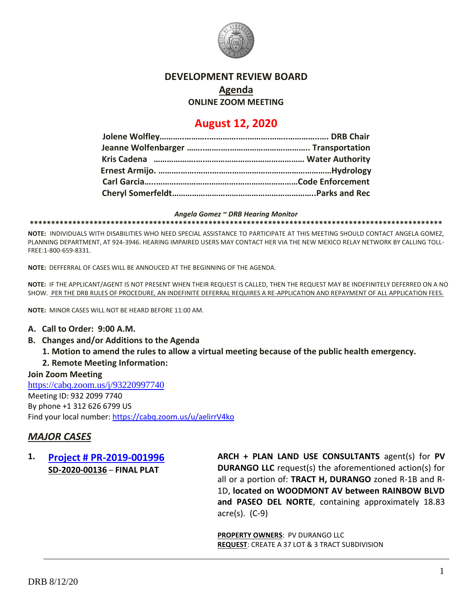

### **DEVELOPMENT REVIEW BOARD**

# **Agenda**

**ONLINE ZOOM MEETING**

# **August 12, 2020**

#### *Angela Gomez ~ DRB Hearing Monitor*

**\*\*\*\*\*\*\*\*\*\*\*\*\*\*\*\*\*\*\*\*\*\*\*\*\*\*\*\*\*\*\*\*\*\*\*\*\*\*\*\*\*\*\*\*\*\*\*\*\*\*\*\*\*\*\*\*\*\*\*\*\*\*\*\*\*\*\*\*\*\*\*\*\*\*\*\*\*\*\*\*\*\*\*\*\*\*\*\*\*\*\*\*\*\*\*\*\***

**NOTE:** INDIVIDUALS WITH DISABILITIES WHO NEED SPECIAL ASSISTANCE TO PARTICIPATE AT THIS MEETING SHOULD CONTACT ANGELA GOMEZ, PLANNING DEPARTMENT, AT 924-3946. HEARING IMPAIRED USERS MAY CONTACT HER VIA THE NEW MEXICO RELAY NETWORK BY CALLING TOLL-FREE:1-800-659-8331.

**NOTE:** DEFFERRAL OF CASES WILL BE ANNOUCED AT THE BEGINNING OF THE AGENDA.

**NOTE:** IF THE APPLICANT/AGENT IS NOT PRESENT WHEN THEIR REQUEST IS CALLED, THEN THE REQUEST MAY BE INDEFINITELY DEFERRED ON A NO SHOW. PER THE DRB RULES OF PROCEDURE, AN INDEFINITE DEFERRAL REQUIRES A RE-APPLICATION AND REPAYMENT OF ALL APPLICATION FEES.

**NOTE:** MINOR CASES WILL NOT BE HEARD BEFORE 11:00 AM.

#### **A. Call to Order: 9:00 A.M.**

- **B. Changes and/or Additions to the Agenda**
	- **1. Motion to amend the rules to allow a virtual meeting because of the public health emergency.**

#### **2. Remote Meeting Information:**

**Join Zoom Meeting** <https://cabq.zoom.us/j/93220997740> Meeting ID: 932 2099 7740 By phone +1 312 626 6799 US Find your local number[: https://cabq.zoom.us/u/aelirrV4ko](https://cabq.zoom.us/u/aelirrV4ko)

# *MAJOR CASES*

# **1. [Project # PR-2019-001996](http://data.cabq.gov/government/planning/DRB/PR-2019-001996/DRB%20Submittals/PR-2019-001996_August_12_2020/) SD-2020-00136** – **FINAL PLAT**

**ARCH + PLAN LAND USE CONSULTANTS** agent(s) for **PV DURANGO LLC** request(s) the aforementioned action(s) for all or a portion of: **TRACT H, DURANGO** zoned R-1B and R-1D, **located on WOODMONT AV between RAINBOW BLVD and PASEO DEL NORTE**, containing approximately 18.83 acre(s). (C-9)

**PROPERTY OWNERS**: PV DURANGO LLC **REQUEST**: CREATE A 37 LOT & 3 TRACT SUBDIVISION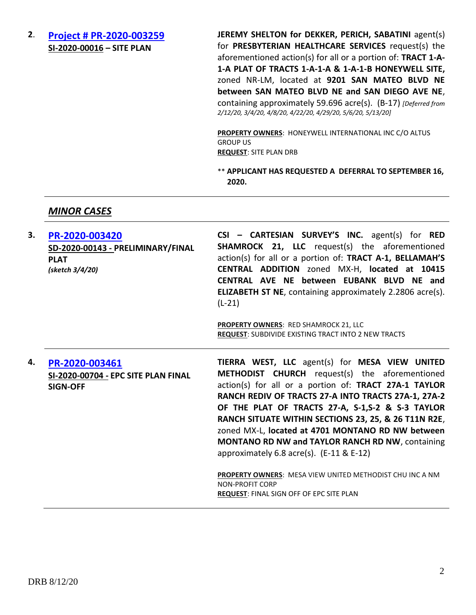**2**. **[Project # PR-2020-003259](http://data.cabq.gov/government/planning/DRB/PR-2020-003259/DRB%20Submittals/PR-2020-003259_Feb_12_2020/Application/) SI-2020-00016 – SITE PLAN**

**JEREMY SHELTON for DEKKER, PERICH, SABATINI** agent(s) for **PRESBYTERIAN HEALTHCARE SERVICES** request(s) the aforementioned action(s) for all or a portion of: **TRACT 1-A-1-A PLAT OF TRACTS 1-A-1-A & 1-A-1-B HONEYWELL SITE,** zoned NR-LM, located at **9201 SAN MATEO BLVD NE between SAN MATEO BLVD NE and SAN DIEGO AVE NE**, containing approximately 59.696 acre(s). (B-17) *[Deferred from 2/12/20, 3/4/20, 4/8/20, 4/22/20, 4/29/20, 5/6/20, 5/13/20]*

**PROPERTY OWNERS**: HONEYWELL INTERNATIONAL INC C/O ALTUS GROUP US **REQUEST**: SITE PLAN DRB

\*\* **APPLICANT HAS REQUESTED A DEFERRAL TO SEPTEMBER 16, 2020.**

#### *MINOR CASES*

| 3. | PR-2020-003420<br>SD-2020-00143 - PRELIMINARY/FINAL<br><b>PLAT</b><br>(sketch 3/4/20) | $CSI - CARTESIAN$ SURVEY'S INC. agent(s) for RED<br><b>SHAMROCK 21, LLC</b> request(s) the aforementioned<br>action(s) for all or a portion of: TRACT A-1, BELLAMAH'S<br>CENTRAL ADDITION zoned MX-H, located at 10415<br>CENTRAL AVE NE between EUBANK BLVD NE and<br><b>ELIZABETH ST NE, containing approximately 2.2806 acre(s).</b><br>$(L-21)$                                                                                                                                                                                                            |
|----|---------------------------------------------------------------------------------------|----------------------------------------------------------------------------------------------------------------------------------------------------------------------------------------------------------------------------------------------------------------------------------------------------------------------------------------------------------------------------------------------------------------------------------------------------------------------------------------------------------------------------------------------------------------|
|    |                                                                                       | <b>PROPERTY OWNERS: RED SHAMROCK 21, LLC</b><br><b>REQUEST: SUBDIVIDE EXISTING TRACT INTO 2 NEW TRACTS</b>                                                                                                                                                                                                                                                                                                                                                                                                                                                     |
| 4. | PR-2020-003461<br>SI-2020-00704 - EPC SITE PLAN FINAL<br><b>SIGN-OFF</b>              | TIERRA WEST, LLC agent(s) for MESA VIEW UNITED<br><b>METHODIST CHURCH</b> request(s) the aforementioned<br>action(s) for all or a portion of: TRACT 27A-1 TAYLOR<br>RANCH REDIV OF TRACTS 27-A INTO TRACTS 27A-1, 27A-2<br>OF THE PLAT OF TRACTS 27-A, S-1,S-2 & S-3 TAYLOR<br>RANCH SITUATE WITHIN SECTIONS 23, 25, & 26 T11N R2E,<br>zoned MX-L, located at 4701 MONTANO RD NW between<br><b>MONTANO RD NW and TAYLOR RANCH RD NW, containing</b><br>approximately 6.8 acre(s). $(E-11 \& E-12)$<br>PROPERTY OWNERS: MESA VIEW UNITED METHODIST CHU INC A NM |
|    |                                                                                       | <b>NON-PROFIT CORP</b><br>REQUEST: FINAL SIGN OFF OF EPC SITE PLAN                                                                                                                                                                                                                                                                                                                                                                                                                                                                                             |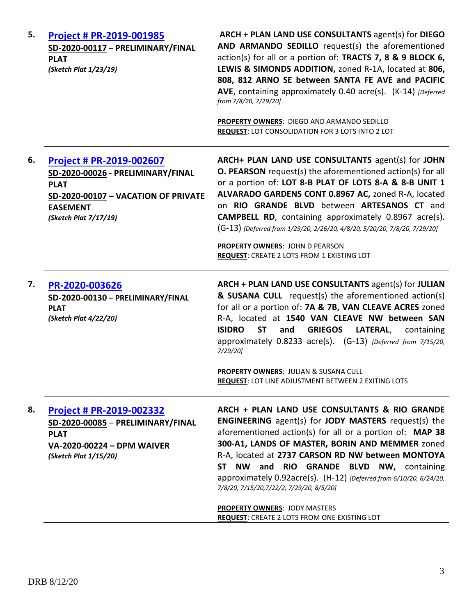| 5. | Project # PR-2019-001985<br>SD-2020-00117 - PRELIMINARY/FINAL<br><b>PLAT</b><br>(Sketch Plat 1/23/19)                                                                  | ARCH + PLAN LAND USE CONSULTANTS agent(s) for DIEGO<br>AND ARMANDO SEDILLO request(s) the aforementioned<br>action(s) for all or a portion of: TRACTS 7, 8 & 9 BLOCK 6,<br>LEWIS & SIMONDS ADDITION, zoned R-1A, located at 806,<br>808, 812 ARNO SE between SANTA FE AVE and PACIFIC<br>AVE, containing approximately 0.40 acre(s). (K-14) [Deferred<br>from 7/8/20, 7/29/20]<br>PROPERTY OWNERS: DIEGO AND ARMANDO SEDILLO<br>REQUEST: LOT CONSOLIDATION FOR 3 LOTS INTO 2 LOT                                                                      |
|----|------------------------------------------------------------------------------------------------------------------------------------------------------------------------|-------------------------------------------------------------------------------------------------------------------------------------------------------------------------------------------------------------------------------------------------------------------------------------------------------------------------------------------------------------------------------------------------------------------------------------------------------------------------------------------------------------------------------------------------------|
| 6. | <b>Project # PR-2019-002607</b><br>SD-2020-00026 - PRELIMINARY/FINAL<br><b>PLAT</b><br>SD-2020-00107 - VACATION OF PRIVATE<br><b>EASEMENT</b><br>(Sketch Plat 7/17/19) | ARCH+ PLAN LAND USE CONSULTANTS agent(s) for JOHN<br><b>O. PEARSON</b> request(s) the aforementioned action(s) for all<br>or a portion of: LOT 8-B PLAT OF LOTS 8-A & 8-B UNIT 1<br>ALVARADO GARDENS CONT 0.8967 AC, zoned R-A, located<br>on RIO GRANDE BLVD between ARTESANOS CT and<br><b>CAMPBELL RD</b> , containing approximately 0.8967 acre(s).<br>(G-13) [Deferred from 1/29/20, 2/26/20, 4/8/20, 5/20/20, 7/8/20, 7/29/20]<br><b>PROPERTY OWNERS: JOHN D PEARSON</b><br><b>REQUEST: CREATE 2 LOTS FROM 1 EXISTING LOT</b>                   |
| 7. | PR-2020-003626<br>SD-2020-00130 - PRELIMINARY/FINAL<br><b>PLAT</b><br>(Sketch Plat 4/22/20)                                                                            | ARCH + PLAN LAND USE CONSULTANTS agent(s) for JULIAN<br>& SUSANA CULL request(s) the aforementioned action(s)<br>for all or a portion of: 7A & 7B, VAN CLEAVE ACRES zoned<br>R-A, located at 1540 VAN CLEAVE NW between SAN<br><b>ISIDRO</b><br><b>ST</b><br><b>GRIEGOS LATERAL,</b><br>and<br>containing<br>approximately 0.8233 acre(s). (G-13) [Deferred from 7/15/20,<br>7/29/20]<br>PROPERTY OWNERS: JULIAN & SUSANA CULL<br><b>REQUEST: LOT LINE ADJUSTMENT BETWEEN 2 EXITING LOTS</b>                                                          |
| 8. | Project # PR-2019-002332<br>SD-2020-00085 - PRELIMINARY/FINAL<br><b>PLAT</b><br>VA-2020-00224 - DPM WAIVER<br>(Sketch Plat 1/15/20)                                    | ARCH + PLAN LAND USE CONSULTANTS & RIO GRANDE<br><b>ENGINEERING</b> agent(s) for <b>JODY MASTERS</b> request(s) the<br>aforementioned action(s) for all or a portion of: MAP 38<br>300-A1, LANDS OF MASTER, BORIN AND MEMMER zoned<br>R-A, located at 2737 CARSON RD NW between MONTOYA<br>ST NW and RIO GRANDE BLVD NW, containing<br>approximately 0.92acre(s). (H-12) {Deferred from 6/10/20, 6/24/20,<br>7/8/20, 7/15/20, 7/22/2, 7/29/20, 8/5/20]<br><b>PROPERTY OWNERS: JODY MASTERS</b><br><b>REQUEST: CREATE 2 LOTS FROM ONE EXISTING LOT</b> |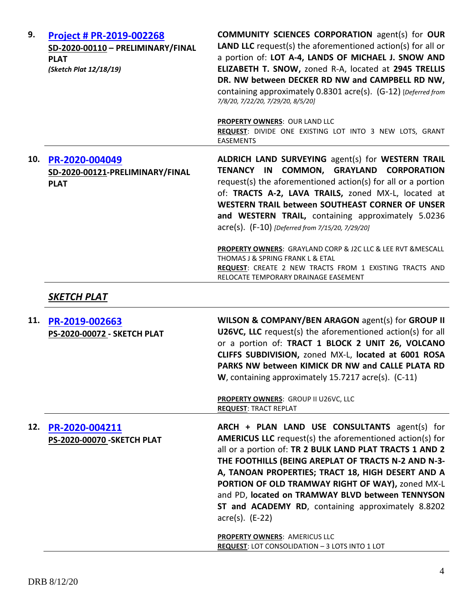| 9.  | Project # PR-2019-002268<br>SD-2020-00110 - PRELIMINARY/FINAL<br><b>PLAT</b><br>(Sketch Plat 12/18/19) | <b>COMMUNITY SCIENCES CORPORATION agent(s) for OUR</b><br><b>LAND LLC</b> request(s) the aforementioned action(s) for all or<br>a portion of: LOT A-4, LANDS OF MICHAEL J. SNOW AND<br>ELIZABETH T. SNOW, zoned R-A, located at 2945 TRELLIS<br>DR. NW between DECKER RD NW and CAMPBELL RD NW,<br>containing approximately 0.8301 acre(s). (G-12) [Deferred from<br>7/8/20, 7/22/20, 7/29/20, 8/5/20]                                                                        |
|-----|--------------------------------------------------------------------------------------------------------|-------------------------------------------------------------------------------------------------------------------------------------------------------------------------------------------------------------------------------------------------------------------------------------------------------------------------------------------------------------------------------------------------------------------------------------------------------------------------------|
|     |                                                                                                        | <b>PROPERTY OWNERS: OUR LAND LLC</b><br>REQUEST: DIVIDE ONE EXISTING LOT INTO 3 NEW LOTS, GRANT<br><b>EASEMENTS</b>                                                                                                                                                                                                                                                                                                                                                           |
| 10. | PR-2020-004049<br>SD-2020-00121-PRELIMINARY/FINAL<br><b>PLAT</b>                                       | ALDRICH LAND SURVEYING agent(s) for WESTERN TRAIL<br>COMMON,<br><b>GRAYLAND CORPORATION</b><br><b>TENANCY IN</b><br>request(s) the aforementioned action(s) for all or a portion<br>of: TRACTS A-2, LAVA TRAILS, zoned MX-L, located at<br>WESTERN TRAIL between SOUTHEAST CORNER OF UNSER<br>and WESTERN TRAIL, containing approximately 5.0236<br>acre(s). (F-10) [Deferred from 7/15/20, 7/29/20]                                                                          |
|     |                                                                                                        | PROPERTY OWNERS: GRAYLAND CORP & J2C LLC & LEE RVT & MESCALL<br>THOMAS J & SPRING FRANK L & ETAL<br>REQUEST: CREATE 2 NEW TRACTS FROM 1 EXISTING TRACTS AND<br>RELOCATE TEMPORARY DRAINAGE EASEMENT                                                                                                                                                                                                                                                                           |
|     | SKETCH PLAT                                                                                            |                                                                                                                                                                                                                                                                                                                                                                                                                                                                               |
| 11. | PR-2019-002663<br>PS-2020-00072 - SKETCH PLAT                                                          | WILSON & COMPANY/BEN ARAGON agent(s) for GROUP II<br>U26VC, LLC request(s) the aforementioned action(s) for all<br>or a portion of: TRACT 1 BLOCK 2 UNIT 26, VOLCANO<br>CLIFFS SUBDIVISION, zoned MX-L, located at 6001 ROSA<br>PARKS NW between KIMICK DR NW and CALLE PLATA RD<br>W, containing approximately 15.7217 acre(s). (C-11)                                                                                                                                       |
|     |                                                                                                        | PROPERTY OWNERS: GROUP II U26VC, LLC<br><b>REQUEST: TRACT REPLAT</b>                                                                                                                                                                                                                                                                                                                                                                                                          |
| 12. | PR-2020-004211<br><b>PS-2020-00070 - SKETCH PLAT</b>                                                   | ARCH + PLAN LAND USE CONSULTANTS agent(s) for<br><b>AMERICUS LLC</b> request(s) the aforementioned action(s) for<br>all or a portion of: TR 2 BULK LAND PLAT TRACTS 1 AND 2<br>THE FOOTHILLS (BEING AREPLAT OF TRACTS N-2 AND N-3-<br>A, TANOAN PROPERTIES; TRACT 18, HIGH DESERT AND A<br>PORTION OF OLD TRAMWAY RIGHT OF WAY), zoned MX-L<br>and PD, located on TRAMWAY BLVD between TENNYSON<br>ST and ACADEMY RD, containing approximately 8.8202<br>$\arccos 0$ . (E-22) |
|     |                                                                                                        | PROPERTY OWNERS: AMERICUS LLC<br>REQUEST: LOT CONSOLIDATION - 3 LOTS INTO 1 LOT                                                                                                                                                                                                                                                                                                                                                                                               |